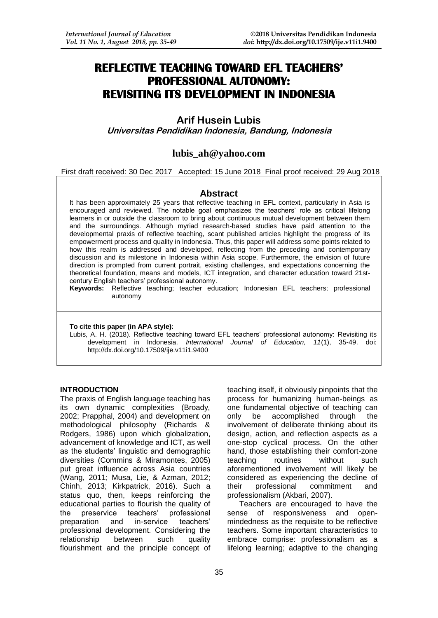# **REFLECTIVE TEACHING TOWARD EFL TEACHERS' PROFESSIONAL AUTONOMY: REVISITING ITS DEVELOPMENT IN INDONESIA**

**Arif Husein Lubis Universitas Pendidikan Indonesia, Bandung, Indonesia**

# **lubis\_ah@yahoo.com**

First draft received: 30 Dec 2017 Accepted: 15 June 2018 Final proof received: 29 Aug 2018

### **Abstract**

It has been approximately 25 years that reflective teaching in EFL context, particularly in Asia is encouraged and reviewed. The notable goal emphasizes the teachers' role as critical lifelong learners in or outside the classroom to bring about continuous mutual development between them and the surroundings. Although myriad research-based studies have paid attention to the developmental praxis of reflective teaching, scant published articles highlight the progress of its empowerment process and quality in Indonesia. Thus, this paper will address some points related to how this realm is addressed and developed, reflecting from the preceding and contemporary discussion and its milestone in Indonesia within Asia scope. Furthermore, the envision of future direction is prompted from current portrait, existing challenges, and expectations concerning the theoretical foundation, means and models, ICT integration, and character education toward 21stcentury English teachers' professional autonomy.

**Keywords:** Reflective teaching; teacher education; Indonesian EFL teachers; professional autonomy

#### **To cite this paper (in APA style):**

Lubis, A. H. (2018). Reflective teaching toward EFL teachers' professional autonomy: Revisiting its development in Indonesia. *International Journal of Education, 11*(1), 35-49. doi: http://dx.doi.org/10.17509/ije.v11i1.9400

### **INTRODUCTION**

The praxis of English language teaching has its own dynamic complexities (Broady, 2002; Prapphal, 2004) and development on methodological philosophy (Richards & Rodgers, 1986) upon which globalization, advancement of knowledge and ICT, as well as the students' linguistic and demographic diversities (Commins & Miramontes, 2005) put great influence across Asia countries (Wang, 2011; Musa, Lie, & Azman, 2012; Chinh, 2013; Kirkpatrick, 2016). Such a status quo, then, keeps reinforcing the educational parties to flourish the quality of the preservice teachers' professional<br>preparation and in-service teachers' and in-service professional development. Considering the relationship between such quality flourishment and the principle concept of

teaching itself, it obviously pinpoints that the process for humanizing human-beings as one fundamental objective of teaching can only be accomplished through the involvement of deliberate thinking about its design, action, and reflection aspects as a one-stop cyclical process. On the other hand, those establishing their comfort-zone teaching routines without such aforementioned involvement will likely be considered as experiencing the decline of their professional commitment and professionalism (Akbari, 2007).

Teachers are encouraged to have the sense of responsiveness and openmindedness as the requisite to be reflective teachers. Some important characteristics to embrace comprise: professionalism as a lifelong learning; adaptive to the changing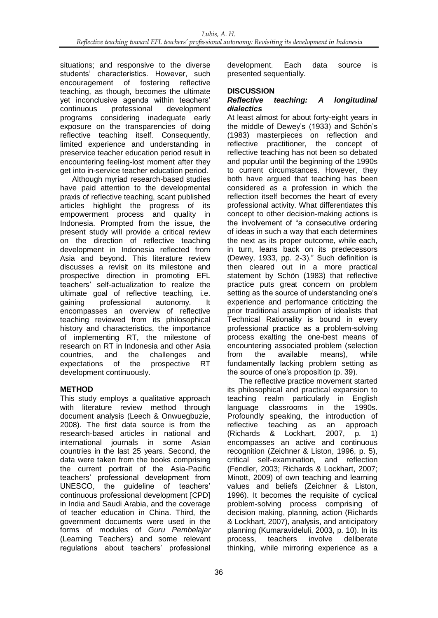situations; and responsive to the diverse students' characteristics. However, such encouragement of fostering reflective teaching, as though, becomes the ultimate yet inconclusive agenda within teachers' continuous professional development programs considering inadequate early exposure on the transparencies of doing reflective teaching itself. Consequently. limited experience and understanding in preservice teacher education period result in encountering feeling-lost moment after they get into in-service teacher education period.

Although myriad research-based studies have paid attention to the developmental praxis of reflective teaching, scant published articles highlight the progress of its empowerment process and quality in Indonesia. Prompted from the issue, the present study will provide a critical review on the direction of reflective teaching development in Indonesia reflected from Asia and beyond. This literature review discusses a revisit on its milestone and prospective direction in promoting EFL teachers' self-actualization to realize the ultimate goal of reflective teaching, i.e. gaining professional autonomy. It encompasses an overview of reflective teaching reviewed from its philosophical history and characteristics, the importance of implementing RT, the milestone of research on RT in Indonesia and other Asia countries, and the challenges and expectations of the prospective RT development continuously.

# **METHOD**

This study employs a qualitative approach with literature review method through document analysis (Leech & Onwuegbuzie, 2008). The first data source is from the research-based articles in national and international journals in some Asian countries in the last 25 years. Second, the data were taken from the books comprising the current portrait of the Asia-Pacific teachers' professional development from UNESCO, the guideline of teachers' continuous professional development [CPD] in India and Saudi Arabia, and the coverage of teacher education in China. Third, the government documents were used in the forms of modules of *Guru Pembelajar* (Learning Teachers) and some relevant regulations about teachers' professional

development. Each data source is presented sequentially.

# **DISCUSSION**

### *Reflective teaching: A longitudinal dialectics*

At least almost for about forty-eight years in the middle of Dewey's (1933) and Schön's (1983) masterpieces on reflection and reflective practitioner, the concept of reflective teaching has not been so debated and popular until the beginning of the 1990s to current circumstances. However, they both have argued that teaching has been considered as a profession in which the reflection itself becomes the heart of every professional activity. What differentiates this concept to other decision-making actions is the involvement of "a consecutive ordering of ideas in such a way that each determines the next as its proper outcome, while each, in turn, leans back on its predecessors (Dewey, 1933, pp. 2-3)." Such definition is then cleared out in a more practical statement by Schön (1983) that reflective practice puts great concern on problem setting as the source of understanding one's experience and performance criticizing the prior traditional assumption of idealists that Technical Rationality is bound in every professional practice as a problem-solving process exalting the one-best means of encountering associated problem (selection from the available means), while fundamentally lacking problem setting as the source of one's proposition (p. 39).

The reflective practice movement started its philosophical and practical expansion to teaching realm particularly in English language classrooms in the 1990s. Profoundly speaking, the introduction of<br>reflective teaching as an approach teaching as an approach (Richards & Lockhart, 2007, p. 1) encompasses an active and continuous recognition (Zeichner & Liston, 1996, p. 5), critical self-examination, and reflection (Fendler, 2003; Richards & Lockhart, 2007; Minott, 2009) of own teaching and learning values and beliefs (Zeichner & Liston, 1996). It becomes the requisite of cyclical problem-solving process comprising of decision making, planning, action (Richards & Lockhart, 2007), analysis, and anticipatory planning (Kumaravideluli, 2003, p. 10). In its process, teachers involve deliberate thinking, while mirroring experience as a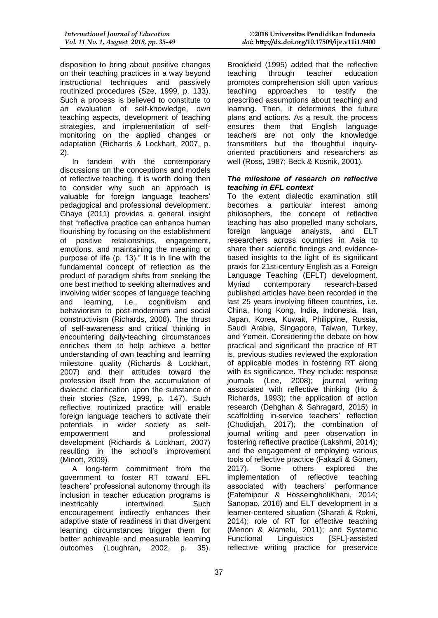disposition to bring about positive changes on their teaching practices in a way beyond instructional techniques and passively routinized procedures (Sze, 1999, p. 133). Such a process is believed to constitute to an evaluation of self-knowledge, own teaching aspects, development of teaching strategies, and implementation of selfmonitoring on the applied changes or adaptation (Richards & Lockhart, 2007, p. 2).

In tandem with the contemporary discussions on the conceptions and models of reflective teaching, it is worth doing then to consider why such an approach is valuable for foreign language teachers' pedagogical and professional development. Ghaye (2011) provides a general insight that "reflective practice can enhance human flourishing by focusing on the establishment of positive relationships, engagement, emotions, and maintaining the meaning or purpose of life (p. 13)." It is in line with the fundamental concept of reflection as the product of paradigm shifts from seeking the one best method to seeking alternatives and involving wider scopes of language teaching and learning, i.e., cognitivism and behaviorism to post-modernism and social constructivism (Richards, 2008). The thrust of self-awareness and critical thinking in encountering daily-teaching circumstances enriches them to help achieve a better understanding of own teaching and learning milestone quality (Richards & Lockhart, 2007) and their attitudes toward the profession itself from the accumulation of dialectic clarification upon the substance of their stories (Sze, 1999, p. 147). Such reflective routinized practice will enable foreign language teachers to activate their potentials in wider society as selfempowerment and professional development (Richards & Lockhart, 2007) resulting in the school's improvement (Minott, 2009).

A long-term commitment from the government to foster RT toward EFL teachers' professional autonomy through its inclusion in teacher education programs is inextricably intertwined. Such encouragement indirectly enhances their adaptive state of readiness in that divergent learning circumstances trigger them for better achievable and measurable learning outcomes (Loughran, 2002, p. 35).

Brookfield (1995) added that the reflective teaching through teacher education promotes comprehension skill upon various teaching approaches to testify the prescribed assumptions about teaching and learning. Then, it determines the future plans and actions. As a result, the process ensures them that English language teachers are not only the knowledge transmitters but the thoughtful inquiryoriented practitioners and researchers as well (Ross, 1987; Beck & Kosnik, 2001).

### *The milestone of research on reflective teaching in EFL context*

To the extent dialectic examination still becomes a particular interest among philosophers, the concept of reflective teaching has also propelled many scholars, foreign language analysts, and ELT researchers across countries in Asia to share their scientific findings and evidencebased insights to the light of its significant praxis for 21st-century English as a Foreign Language Teaching (EFLT) development. Myriad contemporary research-based published articles have been recorded in the last 25 years involving fifteen countries, i.e. China, Hong Kong, India, Indonesia, Iran, Japan, Korea, Kuwait, Philippine, Russia, Saudi Arabia, Singapore, Taiwan, Turkey, and Yemen. Considering the debate on how practical and significant the practice of RT is, previous studies reviewed the exploration of applicable modes in fostering RT along with its significance. They include: response journals (Lee, 2008); journal writing associated with reflective thinking (Ho & Richards, 1993); the application of action research (Dehghan & Sahragard, 2015) in scaffolding in-service teachers' reflection (Chodidjah, 2017); the combination of journal writing and peer observation in fostering reflective practice (Lakshmi, 2014); and the engagement of employing various tools of reflective practice (Fakazli & Gönen, 2017). Some others explored the implementation of reflective teaching associated with teachers' performance (Fatemipour & HosseingholiKhani, 2014; Sanopao, 2016) and ELT development in a learner-centered situation (Sharafi & Rokni, 2014); role of RT for effective teaching (Menon & Alamelu, 2011); and Systemic Functional Linguistics [SFL]-assisted reflective writing practice for preservice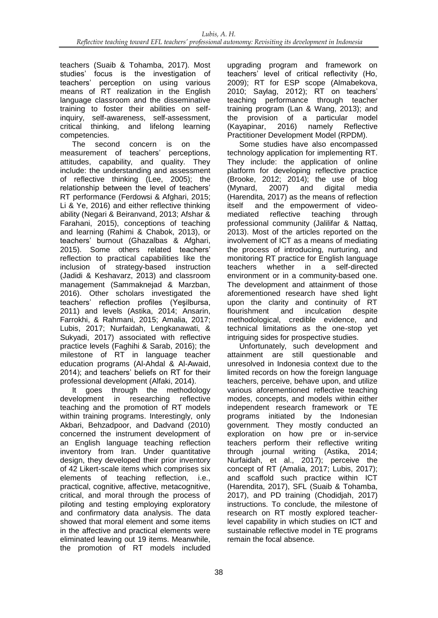teachers (Suaib & Tohamba, 2017). Most studies' focus is the investigation of teachers' perception on using various means of RT realization in the English language classroom and the disseminative training to foster their abilities on selfinquiry, self-awareness, self-assessment,<br>critical thinking, and lifelong learning and lifelong learning competencies.

The second concern is on the measurement of teachers' perceptions, attitudes, capability, and quality. They include: the understanding and assessment of reflective thinking (Lee, 2005); the relationship between the level of teachers' RT performance (Ferdowsi & Afghari, 2015; Li & Ye, 2016) and either reflective thinking ability (Negari & Beiranvand, 2013; Afshar & Farahani, 2015), conceptions of teaching and learning (Rahimi & Chabok, 2013), or teachers' burnout (Ghazalbas & Afghari, 2015). Some others related teachers' reflection to practical capabilities like the inclusion of strategy-based instruction (Jadidi & Keshavarz, 2013) and classroom management (Sammaknejad & Marzban, 2016). Other scholars investigated the teachers' reflection profiles (Yeşilbursa, 2011) and levels (Astika, 2014; Ansarin, Farrokhi, & Rahmani, 2015; Amalia, 2017; Lubis, 2017; Nurfaidah, Lengkanawati, & Sukyadi, 2017) associated with reflective practice levels (Faghihi & Sarab, 2016); the milestone of RT in language teacher education programs (Al-Ahdal & Al-Awaid, 2014); and teachers' beliefs on RT for their professional development (Alfaki, 2014).

It goes through the methodology development in researching reflective teaching and the promotion of RT models within training programs. Interestingly, only Akbari, Behzadpoor, and Dadvand (2010) concerned the instrument development of an English language teaching reflection inventory from Iran. Under quantitative design, they developed their prior inventory of 42 Likert-scale items which comprises six elements of teaching reflection, i.e., practical, cognitive, affective, metacognitive, critical, and moral through the process of piloting and testing employing exploratory and confirmatory data analysis. The data showed that moral element and some items in the affective and practical elements were eliminated leaving out 19 items. Meanwhile, the promotion of RT models included upgrading program and framework on teachers' level of critical reflectivity (Ho, 2009); RT for ESP scope (Almabekova, 2010; Saylag, 2012); RT on teachers' teaching performance through teacher training program (Lan & Wang, 2013); and the provision of a particular model (Kayapinar, 2016) namely Reflective Practitioner Development Model (RPDM).

Some studies have also encompassed technology application for implementing RT. They include: the application of online platform for developing reflective practice (Brooke, 2012; 2014); the use of blog (Mynard, 2007) and digital media (Harendita, 2017) as the means of reflection itself and the empowerment of video-<br>mediated reflective teaching through mediated reflective teaching through professional community (Jalilifar & Nattaq, 2013). Most of the articles reported on the involvement of ICT as a means of mediating the process of introducing, nurturing, and monitoring RT practice for English language teachers whether in a self-directed environment or in a community-based one. The development and attainment of those aforementioned research have shed light upon the clarity and continuity of RT flourishment and inculcation despite methodological, credible evidence, and technical limitations as the one-stop yet intriguing sides for prospective studies.

Unfortunately, such development and attainment are still questionable and unresolved in Indonesia context due to the limited records on how the foreign language teachers, perceive, behave upon, and utilize various aforementioned reflective teaching modes, concepts, and models within either independent research framework or TE programs initiated by the Indonesian government. They mostly conducted an exploration on how pre or in-service teachers perform their reflective writing through journal writing (Astika, 2014; Nurfaidah, et al., 2017); perceive the concept of RT (Amalia, 2017; Lubis, 2017); and scaffold such practice within ICT (Harendita, 2017), SFL (Suaib & Tohamba, 2017), and PD training (Chodidjah, 2017) instructions. To conclude, the milestone of research on RT mostly explored teacherlevel capability in which studies on ICT and sustainable reflective model in TE programs remain the focal absence.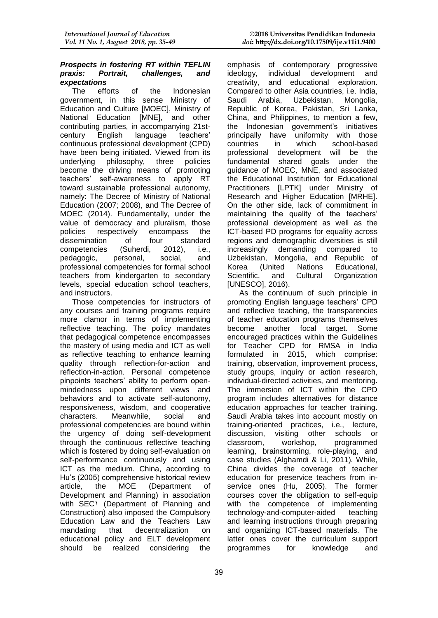### *Prospects in fostering RT within TEFLIN praxis: Portrait, challenges, and expectations*

The efforts of the Indonesian government, in this sense Ministry of Education and Culture [MOEC], Ministry of National Education [MNE], and other contributing parties, in accompanying 21stcentury English language teachers' continuous professional development (CPD) have been being initiated. Viewed from its underlying philosophy, three policies become the driving means of promoting teachers' self-awareness to apply RT toward sustainable professional autonomy, namely: The Decree of Ministry of National Education (2007; 2008), and The Decree of MOEC (2014). Fundamentally, under the value of democracy and pluralism, those policies respectively encompass the<br>dissemination of four standard dissemination of competencies (Suherdi, 2012), i.e., pedagogic, personal, social, and professional competencies for formal school teachers from kindergarten to secondary levels, special education school teachers, and instructors.

Those competencies for instructors of any courses and training programs require more clamor in terms of implementing reflective teaching. The policy mandates that pedagogical competence encompasses the mastery of using media and ICT as well as reflective teaching to enhance learning quality through reflection-for-action and reflection-in-action. Personal competence pinpoints teachers' ability to perform openmindedness upon different views and behaviors and to activate self-autonomy, responsiveness, wisdom, and cooperative characters. Meanwhile, social and professional competencies are bound within the urgency of doing self-development through the continuous reflective teaching which is fostered by doing self-evaluation on self-performance continuously and using ICT as the medium. China, according to Hu's (2005) comprehensive historical review article, the MOE (Department of Development and Planning) in association with SEC<sup>1</sup> (Department of Planning and Construction) also imposed the Compulsory Education Law and the Teachers Law mandating that decentralization on educational policy and ELT development should be realized considering the

emphasis of contemporary progressive ideology, individual development and creativity, and educational exploration. Compared to other Asia countries, i.e. India, Saudi Arabia, Uzbekistan, Mongolia, Republic of Korea, Pakistan, Sri Lanka, China, and Philippines, to mention a few, the Indonesian government's initiatives principally have uniformity with those countries in which school-based professional development will be the fundamental shared goals under the guidance of MOEC, MNE, and associated the Educational Institution for Educational Practitioners [LPTK] under Ministry of Research and Higher Education [MRHE]. On the other side, lack of commitment in maintaining the quality of the teachers' professional development as well as the ICT-based PD programs for equality across regions and demographic diversities is still increasingly demanding compared to Uzbekistan, Mongolia, and Republic of Korea (United Nations Educational,<br>Scientific, and Cultural Organization Scientific, and Cultural Organization [UNESCO], 2016).

As the continuum of such principle in promoting English language teachers' CPD and reflective teaching, the transparencies of teacher education programs themselves become another focal target. Some encouraged practices within the Guidelines for Teacher CPD for RMSA in India formulated in 2015, which comprise: training, observation, improvement process, study groups, inquiry or action research, individual-directed activities, and mentoring. The immersion of ICT within the CPD program includes alternatives for distance education approaches for teacher training. Saudi Arabia takes into account mostly on training-oriented practices, i.e., lecture, discussion, visiting other schools or classroom, workshop, programmed learning, brainstorming, role-playing, and case studies (Alghamdi & Li, 2011). While, China divides the coverage of teacher education for preservice teachers from inservice ones (Hu, 2005). The former courses cover the obligation to self-equip with the competence of implementing technology-and-computer-aided teaching and learning instructions through preparing and organizing ICT-based materials. The latter ones cover the curriculum support programmes for knowledge and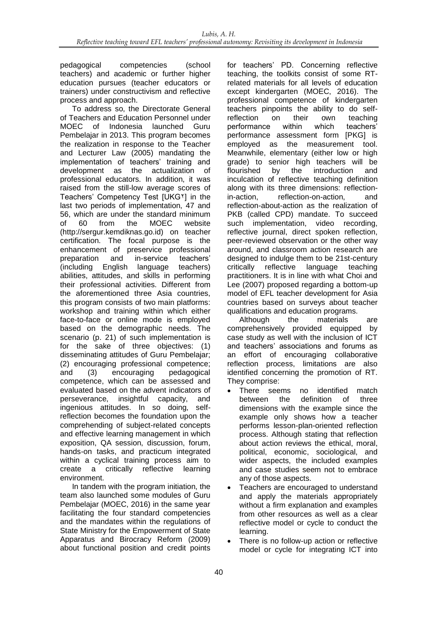pedagogical competencies (school teachers) and academic or further higher education pursues (teacher educators or trainers) under constructivism and reflective process and approach.

To address so, the Directorate General of Teachers and Education Personnel under MOEC of Indonesia launched Guru Pembelajar in 2013. This program becomes the realization in response to the Teacher and Lecturer Law (2005) mandating the implementation of teachers' training and development as the actualization of professional educators. In addition, it was raised from the still-low average scores of Teachers' Competency Test [UKG٢] in the last two periods of implementation, 47 and 56, which are under the standard minimum of 60 from the MOEC website (http://sergur.kemdiknas.go.id) on teacher certification. The focal purpose is the enhancement of preservice professional<br>preparation and in-service teachers' preparation and in-service teachers' (including English language teachers) abilities, attitudes, and skills in performing their professional activities. Different from the aforementioned three Asia countries, this program consists of two main platforms: workshop and training within which either face-to-face or online mode is employed based on the demographic needs. The scenario (p. 21) of such implementation is for the sake of three objectives: (1) disseminating attitudes of Guru Pembelajar; (2) encouraging professional competence; and (3) encouraging pedagogical competence, which can be assessed and evaluated based on the advent indicators of perseverance, insightful capacity, and ingenious attitudes. In so doing, selfreflection becomes the foundation upon the comprehending of subject-related concepts and effective learning management in which exposition, QA session, discussion, forum, hands-on tasks, and practicum integrated within a cyclical training process aim to create a critically reflective learning environment.

In tandem with the program initiation, the team also launched some modules of Guru Pembelajar (MOEC, 2016) in the same year facilitating the four standard competencies and the mandates within the regulations of State Ministry for the Empowerment of State Apparatus and Birocracy Reform (2009) about functional position and credit points for teachers' PD. Concerning reflective teaching, the toolkits consist of some RTrelated materials for all levels of education except kindergarten (MOEC, 2016). The professional competence of kindergarten teachers pinpoints the ability to do selfreflection on their own teaching<br>performance within which teachers' performance within which teachers' performance assessment form [PKG] is employed as the measurement tool. Meanwhile, elementary (either low or high grade) to senior high teachers will be flourished by the introduction and inculcation of reflective teaching definition along with its three dimensions: reflectionin-action, reflection-on-action, and reflection-about-action as the realization of PKB (called CPD) mandate. To succeed such implementation, video recording, reflective journal, direct spoken reflection, peer-reviewed observation or the other way around, and classroom action research are designed to indulge them to be 21st-century critically reflective language teaching practitioners. It is in line with what Choi and Lee (2007) proposed regarding a bottom-up model of EFL teacher development for Asia countries based on surveys about teacher qualifications and education programs.

Although the materials are comprehensively provided equipped by case study as well with the inclusion of ICT and teachers' associations and forums as an effort of encouraging collaborative reflection process, limitations are also identified concerning the promotion of RT. They comprise:

- There seems no identified match between the definition of three dimensions with the example since the example only shows how a teacher performs lesson-plan-oriented reflection process. Although stating that reflection about action reviews the ethical, moral, political, economic, sociological, and wider aspects, the included examples and case studies seem not to embrace any of those aspects.
- Teachers are encouraged to understand and apply the materials appropriately without a firm explanation and examples from other resources as well as a clear reflective model or cycle to conduct the learning.
- There is no follow-up action or reflective model or cycle for integrating ICT into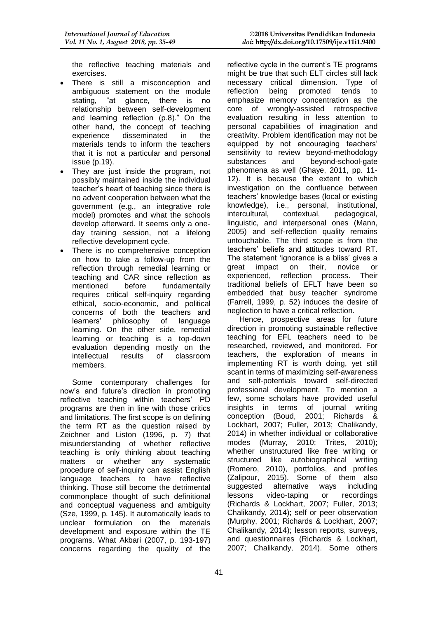the reflective teaching materials and exercises.

- There is still a misconception and ambiguous statement on the module stating, "at glance, there is no relationship between self-development and learning reflection (p.8)." On the other hand, the concept of teaching experience disseminated in the materials tends to inform the teachers that it is not a particular and personal issue (p.19).
- They are just inside the program, not possibly maintained inside the individual teacher's heart of teaching since there is no advent cooperation between what the government (e.g., an integrative role model) promotes and what the schools develop afterward. It seems only a oneday training session, not a lifelong reflective development cycle.
- There is no comprehensive conception on how to take a follow-up from the reflection through remedial learning or teaching and CAR since reflection as mentioned before fundamentally requires critical self-inquiry regarding ethical, socio-economic, and political concerns of both the teachers and learners' philosophy of language learning. On the other side, remedial learning or teaching is a top-down evaluation depending mostly on the intellectual results of classroom results of members.

Some contemporary challenges for now's and future's direction in promoting reflective teaching within teachers' PD programs are then in line with those critics and limitations. The first scope is on defining the term RT as the question raised by Zeichner and Liston (1996, p. 7) that misunderstanding of whether reflective teaching is only thinking about teaching matters or whether any systematic procedure of self-inquiry can assist English language teachers to have reflective thinking. Those still become the detrimental commonplace thought of such definitional and conceptual vagueness and ambiguity (Sze, 1999, p. 145). It automatically leads to unclear formulation on the materials development and exposure within the TE programs. What Akbari (2007, p. 193-197) concerns regarding the quality of the

reflective cycle in the current's TE programs might be true that such ELT circles still lack necessary critical dimension. Type of reflection being promoted tends to emphasize memory concentration as the core of wrongly-assisted retrospective evaluation resulting in less attention to personal capabilities of imagination and creativity. Problem identification may not be equipped by not encouraging teachers' sensitivity to review beyond-methodology substances and beyond-school-gate phenomena as well (Ghaye, 2011, pp. 11- 12). It is because the extent to which investigation on the confluence between teachers' knowledge bases (local or existing knowledge), i.e., personal, institutional, intercultural, contextual, pedagogical, linguistic, and interpersonal ones (Mann, 2005) and self-reflection quality remains untouchable. The third scope is from the teachers' beliefs and attitudes toward RT. The statement 'ignorance is a bliss' gives a great impact on their, novice or experienced, reflection process. Their traditional beliefs of EFLT have been so embedded that busy teacher syndrome (Farrell, 1999, p. 52) induces the desire of neglection to have a critical reflection.

Hence, prospective areas for future direction in promoting sustainable reflective teaching for EFL teachers need to be researched, reviewed, and monitored. For teachers, the exploration of means in implementing RT is worth doing, yet still scant in terms of maximizing self-awareness and self-potentials toward self-directed professional development. To mention a few, some scholars have provided useful insights in terms of journal writing conception (Boud, 2001; Richards & Lockhart, 2007; Fuller, 2013; Chalikandy, 2014) in whether individual or collaborative modes (Murray, 2010; Trites, 2010); whether unstructured like free writing or structured like autobiographical writing (Romero, 2010), portfolios, and profiles (Zalipour, 2015). Some of them also suggested alternative ways including lessons video-taping or recordings (Richards & Lockhart, 2007; Fuller, 2013; Chalikandy, 2014); self or peer observation (Murphy, 2001; Richards & Lockhart, 2007; Chalikandy, 2014); lesson reports, surveys, and questionnaires (Richards & Lockhart, 2007; Chalikandy, 2014). Some others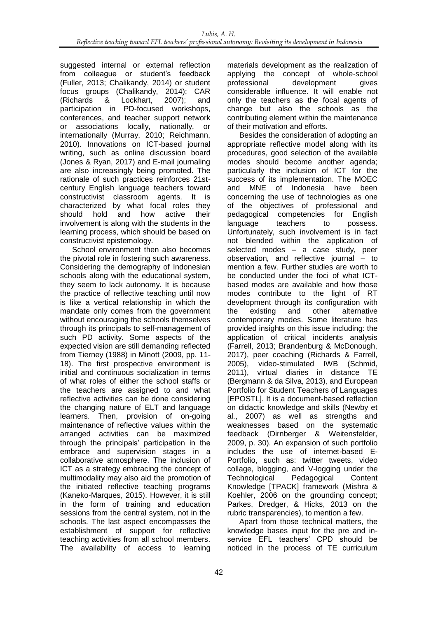suggested internal or external reflection from colleague or student's feedback (Fuller, 2013; Chalikandy, 2014) or student focus groups (Chalikandy, 2014); CAR (Richards & Lockhart, 2007); and participation in PD-focused workshops, conferences, and teacher support network or associations locally, nationally, or internationally (Murray, 2010; Reichmann, 2010). Innovations on ICT-based journal writing, such as online discussion board (Jones & Ryan, 2017) and E-mail journaling are also increasingly being promoted. The rationale of such practices reinforces 21stcentury English language teachers toward constructivist classroom agents. It is characterized by what focal roles they should hold and how active their involvement is along with the students in the learning process, which should be based on constructivist epistemology.

School environment then also becomes the pivotal role in fostering such awareness. Considering the demography of Indonesian schools along with the educational system, they seem to lack autonomy. It is because the practice of reflective teaching until now is like a vertical relationship in which the mandate only comes from the government without encouraging the schools themselves through its principals to self-management of such PD activity. Some aspects of the expected vision are still demanding reflected from Tierney (1988) in Minott (2009, pp. 11- 18). The first prospective environment is initial and continuous socialization in terms of what roles of either the school staffs or the teachers are assigned to and what reflective activities can be done considering the changing nature of ELT and language learners. Then, provision of on-going maintenance of reflective values within the arranged activities can be maximized through the principals' participation in the embrace and supervision stages in a collaborative atmosphere. The inclusion of ICT as a strategy embracing the concept of multimodality may also aid the promotion of the initiated reflective teaching programs (Kaneko-Marques, 2015). However, it is still in the form of training and education sessions from the central system, not in the schools. The last aspect encompasses the establishment of support for reflective teaching activities from all school members. The availability of access to learning materials development as the realization of applying the concept of whole-school professional development gives considerable influence. It will enable not only the teachers as the focal agents of change but also the schools as the contributing element within the maintenance of their motivation and efforts.

Besides the consideration of adopting an appropriate reflective model along with its procedures, good selection of the available modes should become another agenda; particularly the inclusion of ICT for the success of its implementation. The MOEC and MNE of Indonesia have been concerning the use of technologies as one of the objectives of professional and pedagogical competencies for English language teachers to possess. Unfortunately, such involvement is in fact not blended within the application of selected modes – a case study, peer observation, and reflective iournal – to mention a few. Further studies are worth to be conducted under the foci of what ICTbased modes are available and how those modes contribute to the light of RT development through its configuration with the existing and other alternative contemporary modes. Some literature has provided insights on this issue including: the application of critical incidents analysis (Farrell, 2013; Brandenburg & McDonough, 2017), peer coaching (Richards & Farrell, 2005), video-stimulated IWB (Schmid, 2011), virtual diaries in distance TE (Bergmann & da Silva, 2013), and European Portfolio for Student Teachers of Languages [EPOSTL]. It is a document-based reflection on didactic knowledge and skills (Newby et al., 2007) as well as strengths and weaknesses based on the systematic feedback (Dirnberger & Weitensfelder, 2009, p. 30). An expansion of such portfolio includes the use of internet-based E-Portfolio, such as: twitter tweets, video collage, blogging, and V-logging under the Technological Pedagogical Content Knowledge [TPACK] framework (Mishra & Koehler, 2006 on the grounding concept; Parkes, Dredger, & Hicks, 2013 on the rubric transparencies), to mention a few.

Apart from those technical matters, the knowledge bases input for the pre and inservice EFL teachers' CPD should be noticed in the process of TE curriculum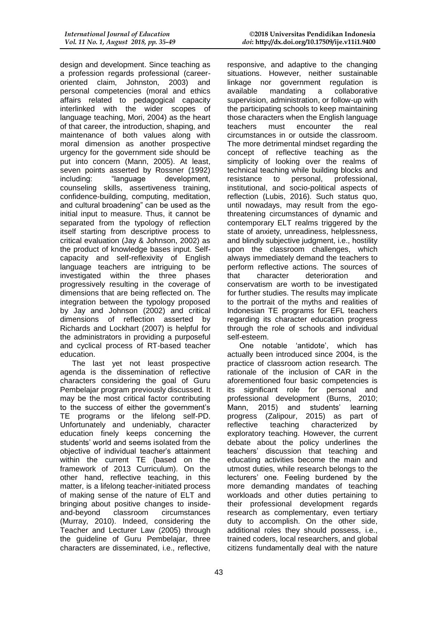design and development. Since teaching as a profession regards professional (careeroriented claim, Johnston, 2003) and personal competencies (moral and ethics affairs related to pedagogical capacity interlinked with the wider scopes of language teaching, Mori, 2004) as the heart of that career, the introduction, shaping, and maintenance of both values along with moral dimension as another prospective urgency for the government side should be put into concern (Mann, 2005). At least, seven points asserted by Rossner (1992) including: "language development, counseling skills, assertiveness training, confidence-building, computing, meditation, and cultural broadening" can be used as the initial input to measure. Thus, it cannot be separated from the typology of reflection itself starting from descriptive process to critical evaluation (Jay & Johnson, 2002) as the product of knowledge bases input. Selfcapacity and self-reflexivity of English language teachers are intriguing to be investigated within the three phases progressively resulting in the coverage of dimensions that are being reflected on. The integration between the typology proposed by Jay and Johnson (2002) and critical dimensions of reflection asserted by Richards and Lockhart (2007) is helpful for the administrators in providing a purposeful and cyclical process of RT-based teacher education.

The last yet not least prospective agenda is the dissemination of reflective characters considering the goal of Guru Pembelajar program previously discussed. It may be the most critical factor contributing to the success of either the government's TE programs or the lifelong self-PD. Unfortunately and undeniably, character education finely keeps concerning the students' world and seems isolated from the objective of individual teacher's attainment within the current TE (based on the framework of 2013 Curriculum). On the other hand, reflective teaching, in this matter, is a lifelong teacher-initiated process of making sense of the nature of ELT and bringing about positive changes to insideand-beyond classroom circumstances (Murray, 2010). Indeed, considering the Teacher and Lecturer Law (2005) through the guideline of Guru Pembelajar, three characters are disseminated, i.e., reflective,

responsive, and adaptive to the changing situations. However, neither sustainable linkage nor government regulation is available mandating a collaborative supervision, administration, or follow-up with the participating schools to keep maintaining those characters when the English language teachers must encounter the real circumstances in or outside the classroom. The more detrimental mindset regarding the concept of reflective teaching as the simplicity of looking over the realms of technical teaching while building blocks and resistance to personal, professional, institutional, and socio-political aspects of reflection (Lubis, 2016). Such status quo, until nowadays, may result from the egothreatening circumstances of dynamic and contemporary ELT realms triggered by the state of anxiety, unreadiness, helplessness, and blindly subjective judgment, i.e., hostility upon the classroom challenges, which always immediately demand the teachers to perform reflective actions. The sources of that character deterioration and conservatism are worth to be investigated for further studies. The results may implicate to the portrait of the myths and realities of Indonesian TE programs for EFL teachers regarding its character education progress through the role of schools and individual self-esteem.

One notable 'antidote', which has actually been introduced since 2004, is the practice of classroom action research. The rationale of the inclusion of CAR in the aforementioned four basic competencies is its significant role for personal and professional development (Burns, 2010; Mann, 2015) and students' learning progress (Zalipour, 2015) as part of<br>reflective teaching characterized by reflective teaching characterized by exploratory teaching. However, the current debate about the policy underlines the teachers' discussion that teaching and educating activities become the main and utmost duties, while research belongs to the lecturers' one. Feeling burdened by the more demanding mandates of teaching workloads and other duties pertaining to their professional development regards research as complementary, even tertiary duty to accomplish. On the other side, additional roles they should possess, i.e., trained coders, local researchers, and global citizens fundamentally deal with the nature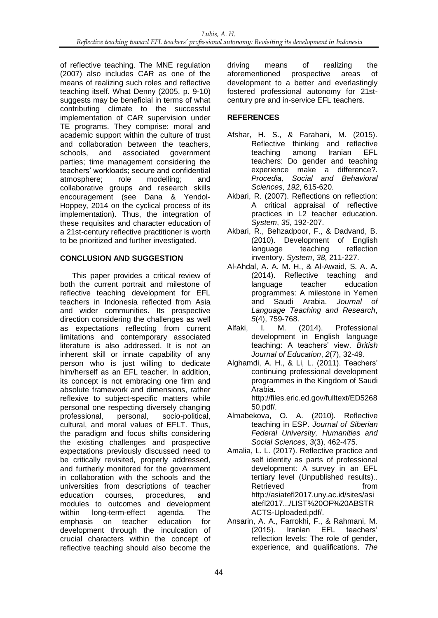of reflective teaching. The MNE regulation (2007) also includes CAR as one of the means of realizing such roles and reflective teaching itself. What Denny (2005, p. 9-10) suggests may be beneficial in terms of what contributing climate to the successful implementation of CAR supervision under TE programs. They comprise: moral and academic support within the culture of trust and collaboration between the teachers, schools, and associated government parties; time management considering the teachers' workloads; secure and confidential atmosphere; role modelling; and collaborative groups and research skills encouragement (see Dana & Yendol-Hoppey, 2014 on the cyclical process of its implementation). Thus, the integration of these requisites and character education of a 21st-century reflective practitioner is worth to be prioritized and further investigated.

# **CONCLUSION AND SUGGESTION**

This paper provides a critical review of both the current portrait and milestone of reflective teaching development for EFL teachers in Indonesia reflected from Asia and wider communities. Its prospective direction considering the challenges as well as expectations reflecting from current limitations and contemporary associated literature is also addressed. It is not an inherent skill or innate capability of any person who is just willing to dedicate him/herself as an EFL teacher. In addition, its concept is not embracing one firm and absolute framework and dimensions, rather reflexive to subject-specific matters while personal one respecting diversely changing<br>professional, personal, socio-political, professional, personal, socio-political, cultural, and moral values of EFLT. Thus, the paradigm and focus shifts considering the existing challenges and prospective expectations previously discussed need to be critically revisited, properly addressed, and furtherly monitored for the government in collaboration with the schools and the universities from descriptions of teacher education courses, procedures, and modules to outcomes and development within long-term-effect agenda. The emphasis on teacher education for development through the inculcation of crucial characters within the concept of reflective teaching should also become the

driving means of realizing the aforementioned prospective areas of development to a better and everlastingly fostered professional autonomy for 21stcentury pre and in-service EFL teachers.

# **REFERENCES**

- Afshar, H. S., & Farahani, M. (2015). Reflective thinking and reflective teaching among Iranian EFL teachers: Do gender and teaching experience make a difference?. *Procedia, Social and Behavioral Sciences*, *192*, 615-620.
- Akbari, R. (2007). Reflections on reflection: A critical appraisal of reflective practices in L2 teacher education. *System*, *35*, 192-207.
- Akbari, R., Behzadpoor, F., & Dadvand, B. (2010). Development of English language teaching reflection inventory. *System*, *38*, 211-227.
- Al-Ahdal, A. A. M. H., & Al-Awaid, S. A. A. (2014). Reflective teaching and language teacher education programmes: A milestone in Yemen and Saudi Arabia. *Journal of Language Teaching and Research*, *5*(4), 759-768.
- Alfaki, I. M. (2014). Professional development in English language teaching: A teachers' view. *British Journal of Education*, *2*(7), 32-49.
- Alghamdi, A. H., & Li, L. (2011). Teachers' continuing professional development programmes in the Kingdom of Saudi Arabia. [http://files.eric.ed.gov/fulltext/ED5268](http://files.eric.ed.gov/fulltext/ED526850.pdf) [50.pdf/.](http://files.eric.ed.gov/fulltext/ED526850.pdf)
- Almabekova, O. A. (2010). Reflective teaching in ESP. *Journal of Siberian Federal University, Humanities and Social Sciences*, *3*(3), 462-475.
- Amalia, L. L. (2017). Reflective practice and self identity as parts of professional development: A survey in an EFL tertiary level (Unpublished results).. Retrieved from [http://asiatefl2017.uny.ac.id/sites/asi](http://asiatefl2017.uny.ac.id/sites/asiatefl2017.../LIST%20OF%20ABSTRACTS-Uploaded.pdf/) [atefl2017.../LIST%20OF%20ABSTR](http://asiatefl2017.uny.ac.id/sites/asiatefl2017.../LIST%20OF%20ABSTRACTS-Uploaded.pdf/) [ACTS-Uploaded.pdf/.](http://asiatefl2017.uny.ac.id/sites/asiatefl2017.../LIST%20OF%20ABSTRACTS-Uploaded.pdf/)
- Ansarin, A. A., Farrokhi, F., & Rahmani, M. (2015). Iranian EFL teachers' reflection levels: The role of gender, experience, and qualifications. *The*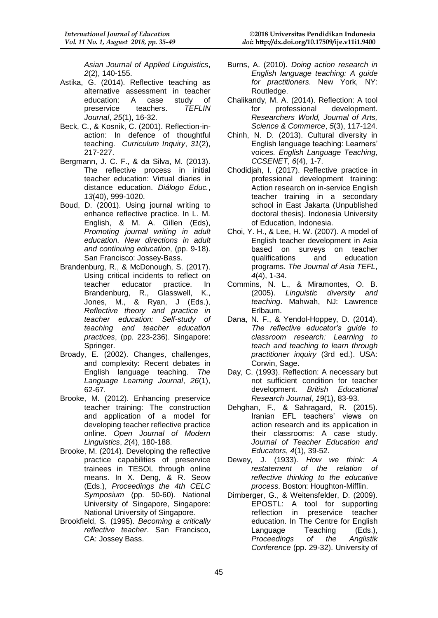*Asian Journal of Applied Linguistics*, *2*(2), 140-155.

- Astika, G. (2014). Reflective teaching as alternative assessment in teacher education: A case study of preservice teachers. *TEFLIN Journal*, *25*(1), 16-32.
- Beck, C., & Kosnik, C. (2001). Reflection-inaction: In defence of thoughtful teaching. *Curriculum Inquiry*, *31*(2), 217-227.
- Bergmann, J. C. F., & da Silva, M. (2013). The reflective process in initial teacher education: Virtual diaries in distance education. *Diálogo Educ.*, *13*(40), 999-1020.
- Boud, D. (2001). Using journal writing to enhance reflective practice. In L. M. English, & M. A. Gillen (Eds), *Promoting journal writing in adult education. New directions in adult and continuing education*, (pp. 9-18). San Francisco: Jossey-Bass.
- Brandenburg, R., & McDonough, S. (2017). Using critical incidents to reflect on teacher educator practice. In Brandenburg, R., Glasswell, K., Jones, M., & Ryan, J (Eds.), *Reflective theory and practice in teacher education: Self-study of teaching and teacher education practices*, (pp. 223-236). Singapore: Springer.
- Broady, E. (2002). Changes, challenges, and complexity: Recent debates in English language teaching. *The Language Learning Journal*, *26*(1), 62-67.
- Brooke, M. (2012). Enhancing preservice teacher training: The construction and application of a model for developing teacher reflective practice online. *Open Journal of Modern Linguistics*, *2*(4), 180-188.
- Brooke, M. (2014). Developing the reflective practice capabilities of preservice trainees in TESOL through online means. In X. Deng, & R. Seow (Eds.), *Proceedings the 4th CELC Symposium* (pp. 50-60). National University of Singapore, Singapore: National University of Singapore.
- Brookfield, S. (1995). *Becoming a critically reflective teacher*. San Francisco, CA: Jossey Bass.
- Burns, A. (2010). *Doing action research in English language teaching: A guide for practitioners*. New York, NY: Routledge.
- Chalikandy, M. A. (2014). Reflection: A tool for professional development. *Researchers World, Journal of Arts, Science & Commerce*, *5*(3), 117-124.
- Chinh, N. D. (2013). Cultural diversity in English language teaching: Learners' voices. *English Language Teaching*, *CCSENET*, *6*(4), 1-7.
- Chodidjah, I. (2017). Reflective practice in professional development training: Action research on in-service English teacher training in a secondary school in East Jakarta (Unpublished doctoral thesis). Indonesia University of Education, Indonesia.
- Choi, Y. H., & Lee, H. W. (2007). A model of English teacher development in Asia based on surveys on teacher qualifications and education programs. *The Journal of Asia TEFL*, *4*(4), 1-34.
- Commins, N. L., & Miramontes, O. B. (2005). *Linguistic diversity and teaching*. Mahwah, NJ: Lawrence Erlbaum.
- Dana, N. F., & Yendol-Hoppey, D. (2014). *The reflective educator's guide to classroom research: Learning to teach and teaching to learn through practitioner inquiry* (3rd ed.). USA: Corwin, Sage.
- Day, C. (1993). Reflection: A necessary but not sufficient condition for teacher development. *British Educational Research Journal*, *19*(1), 83-93.
- Dehghan, F., & Sahragard, R. (2015). Iranian EFL teachers' views on action research and its application in their classrooms: A case study. *Journal of Teacher Education and Educators*, *4*(1), 39-52.
- Dewey, J. (1933). *How we think: A restatement of the relation of reflective thinking to the educative process*. Boston: Houghton-Mifflin.
- Dirnberger, G., & Weitensfelder, D. (2009). EPOSTL: A tool for supporting reflection in preservice teacher education. In The Centre for English Language Teaching (Eds.), *Proceedings of the Anglistik Conference* (pp. 29-32). University of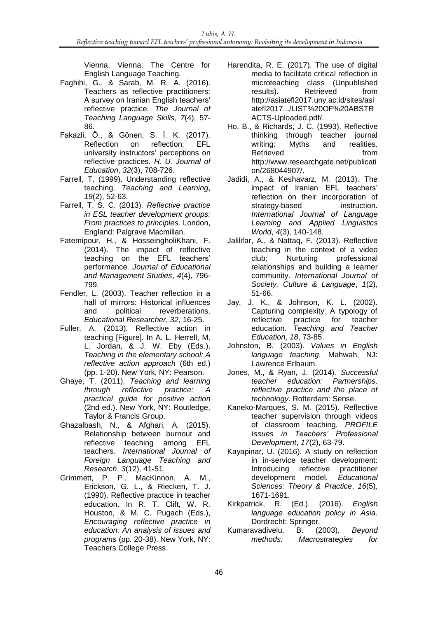Vienna, Vienna: The Centre for English Language Teaching.

- Faghihi, G., & Sarab, M. R. A. (2016). Teachers as reflective practitioners: A survey on Iranian English teachers' reflective practice. *The Journal of Teaching Language Skills*, *7*(4), 57- 86.
- Fakazli, Ö., & Gönen, S. İ. K. (2017). Reflection on reflection: EFL university instructors' perceptions on reflective practices. *H. U. Journal of Education*, *32*(3), 708-726.
- Farrell, T. (1999). Understanding reflective teaching. *Teaching and Learning*, *19*(2), 52-63.
- Farrell, T. S. C. (2013). *Reflective practice in ESL teacher development groups: From practices to principles*. London, England: Palgrave Macmillan.
- Fatemipour, H., & HosseingholiKhani, F. (2014). The impact of reflective teaching on the EFL teachers' performance. *Journal of Educational and Management Studies*, *4*(4), 796- 799.
- Fendler, L. (2003). Teacher reflection in a hall of mirrors: Historical influences and political reverberations. *Educational Researcher*, *32*, 16-25.
- Fuller, A. (2013). Reflective action in teaching [Figure]. In A. L. Herrell, M. L. Jordan, & J. W. Eby (Eds.), *Teaching in the elementary school: A reflective action approach* (6th ed.) (pp. 1-20). New York, NY: Pearson.
- Ghaye, T. (2011). *Teaching and learning through reflective practice: A practical guide for positive action* (2nd ed.). New York, NY: Routledge, Taylor & Francis Group.
- Ghazalbash, N., & Afghari, A. (2015). Relationship between burnout and reflective teaching among EFL teachers. *International Journal of Foreign Language Teaching and Research*, *3*(12), 41-51.
- Grimmett, P. P., MacKinnon, A. M., Erickson, G. L., & Riecken, T. J. (1990). Reflective practice in teacher education. In R. T. Clift, W. R. Houston, & M. C. Pugach (Eds.), *Encouraging reflective practice in education: An analysis of issues and programs* (pp. 20-38). New York, NY: Teachers College Press.
- Harendita, R. E. (2017). The use of digital media to facilitate critical reflection in microteaching class (Unpublished results). Retrieved from [http://asiatefl2017.uny.ac.id/sites/asi](http://asiatefl2017.uny.ac.id/sites/asiatefl2017.../LIST%20OF%20ABSTRACTS-Uploaded.pdf/) [atefl2017.../LIST%20OF%20ABSTR](http://asiatefl2017.uny.ac.id/sites/asiatefl2017.../LIST%20OF%20ABSTRACTS-Uploaded.pdf/) [ACTS-Uploaded.pdf/.](http://asiatefl2017.uny.ac.id/sites/asiatefl2017.../LIST%20OF%20ABSTRACTS-Uploaded.pdf/)
- Ho, B., & Richards, J. C. (1993). Reflective thinking through teacher journal writing: Myths and realities. Retrieved from [http://www.researchgate.net/publicati](http://www.researchgate.net/publication/268044907/) [on/268044907/.](http://www.researchgate.net/publication/268044907/)
- Jadidi, A., & Keshavarz, M. (2013). The impact of Iranian EFL teachers' reflection on their incorporation of strategy-based instruction. *International Journal of Language Learning and Applied Linguistics World*, *4*(3), 140-148.
- Jalilifar, A., & Nattaq, F. (2013). Reflective teaching in the context of a video club: Nurturing professional relationships and building a learner community. *International Journal of Society, Culture & Language*, *1*(2), 51-66.
- Jay, J. K., & Johnson, K. L. (2002). Capturing complexity: A typology of reflective practice for teacher education. *Teaching and Teacher Education*, *18*, 73-85.
- Johnston, B. (2003). *Values in English language teaching*. Mahwah, NJ: Lawrence Erlbaum.
- Jones, M., & Ryan, J. (2014). *Successful teacher education: Partnerships, reflective practice and the place of technology*. Rotterdam: Sense.
- Kaneko-Marques, S. M. (2015). Reflective teacher supervision through videos of classroom teaching. *PROFILE Issues in Teachers' Professional Development*, *17*(2), 63-79.
- Kayapinar, U. (2016). A study on reflection in in-service teacher development: Introducing reflective practitioner development model. *Educational Sciences: Theory & Practice*, *16*(5), 1671-1691.
- Kirkpatrick, R. (Ed.). (2016). *English language education policy in Asia*. Dordrecht: Springer.
- Kumaravadivelu, B. (2003). *Beyond methods: Macrostrategies for*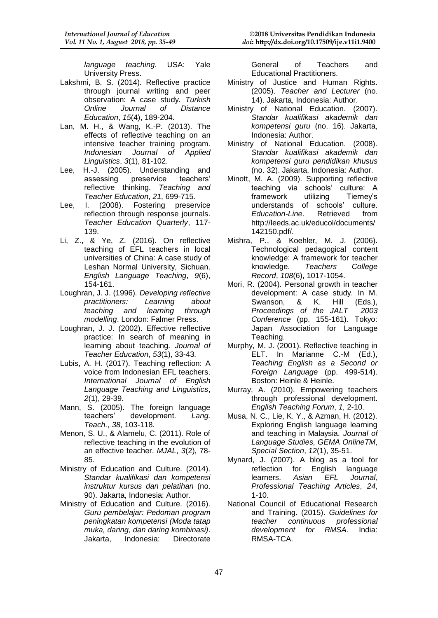*language teaching*. USA: Yale University Press.

- Lakshmi, B. S. (2014). Reflective practice through journal writing and peer observation: A case study. *Turkish Online Journal of Distance Education*, *15*(4), 189-204.
- Lan, M. H., & Wang, K.-P. (2013). The effects of reflective teaching on an intensive teacher training program. *Indonesian Journal of Applied Linguistics*, *3*(1), 81-102.
- Lee, H.-J. (2005). Understanding and assessing preservice teachers' reflective thinking. *Teaching and Teacher Education*, *21*, 699-715.
- Lee, I. (2008). Fostering preservice reflection through response journals. *Teacher Education Quarterly*, 117- 139.
- Li, Z., & Ye, Z. (2016). On reflective teaching of EFL teachers in local universities of China: A case study of Leshan Normal University, Sichuan. *English Language Teaching*, *9*(6), 154-161.
- Loughran, J. J. (1996). *Developing reflective practitioners: Learning about teaching and learning through modelling*. London: Falmer Press.
- Loughran, J. J. (2002). Effective reflective practice: In search of meaning in learning about teaching. *Journal of Teacher Education*, *53*(1), 33-43.
- Lubis, A. H. (2017). Teaching reflection: A voice from Indonesian EFL teachers. *International Journal of English Language Teaching and Linguistics*, *2*(1), 29-39.
- Mann, S. (2005). The foreign language teachers' development. *Lang. Teach.*, *38*, 103-118.
- Menon, S. U., & Alamelu, C. (2011). Role of reflective teaching in the evolution of an effective teacher. *MJAL*, *3*(2), 78- 85.
- Ministry of Education and Culture. (2014). *Standar kualifikasi dan kompetensi instruktur kursus dan pelatihan* (no. 90). Jakarta, Indonesia: Author.
- Ministry of Education and Culture. (2016). *Guru pembelajar: Pedoman program peningkatan kompetensi (Moda tatap muka, daring, dan daring kombinasi)*. Jakarta, Indonesia: Directorate

General of Teachers and Educational Practitioners.

- Ministry of Justice and Human Rights. (2005). *Teacher and Lecturer* (no. 14). Jakarta, Indonesia: Author.
- Ministry of National Education. (2007). *Standar kualifikasi akademik dan kompetensi guru* (no. 16). Jakarta, Indonesia: Author.
- Ministry of National Education. (2008). *Standar kualifikasi akademik dan kompetensi guru pendidikan khusus* (no. 32). Jakarta, Indonesia: Author.
- Minott, M. A. (2009). Supporting reflective teaching via schools' culture: A<br>framework utilizing Tierney's utilizing understands of schools' culture. *Education-Line*. Retrieved from [http://leeds.ac.uk/educol/documents/](http://leeds.ac.uk/educol/documents/142150.pdf/) [142150.pdf/.](http://leeds.ac.uk/educol/documents/142150.pdf/)
- Mishra, P., & Koehler, M. J. (2006). Technological pedagogical content knowledge: A framework for teacher<br>knowledge. Teachers College knowledge. *Teachers College Record*, *108*(6), 1017-1054.
- Mori, R. (2004). Personal growth in teacher development: A case study. In M. Swanson, & K. Hill (Eds.), *Proceedings of the JALT 2003 Conference* (pp. 155-161). Tokyo: Japan Association for Language Teaching.
- Murphy, M. J. (2001). Reflective teaching in ELT. In Marianne C.-M (Ed.), *Teaching English as a Second or Foreign Language* (pp. 499-514). Boston: Heinle & Heinle.
- Murray, A. (2010). Empowering teachers through professional development. *English Teaching Forum*, *1*, 2-10.
- Musa, N. C., Lie, K. Y., & Azman, H. (2012). Exploring English language learning and teaching in Malaysia. *Journal of Language Studies, GEMA OnlineTM*, *Special Section*, *12*(1), 35-51.
- Mynard, J. (2007). A blog as a tool for reflection for English language learners. *Asian EFL Journal, Professional Teaching Articles*, *24*, 1-10.
- National Council of Educational Research and Training. (2015). *Guidelines for teacher continuous professional development for RMSA*. India: RMSA-TCA.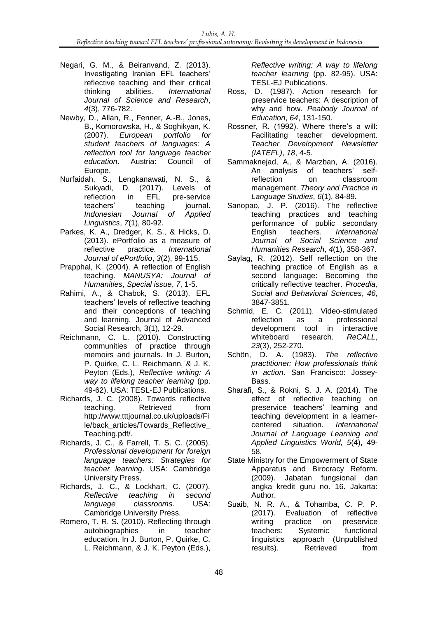- Negari, G. M., & Beiranvand, Z. (2013). Investigating Iranian EFL teachers' reflective teaching and their critical thinking abilities. *International Journal of Science and Research*, *4*(3), 776-782.
- Newby, D., Allan, R., Fenner, A.-B., Jones, B., Komorowska, H., & Soghikyan, K. (2007). *European portfolio for student teachers of languages: A reflection tool for language teacher education*. Austria: Council of Europe.
- Nurfaidah, S., Lengkanawati, N. S., & Sukyadi, D. (2017). Levels of reflection in EFL pre-service teachers' teaching iournal. *Indonesian Journal of Applied Linguistics*, *7*(1), 80-92.
- Parkes, K. A., Dredger, K. S., & Hicks, D. (2013). ePortfolio as a measure of reflective practice. *International Journal of ePortfolio*, *3*(2), 99-115.
- Prapphal, K. (2004). A reflection of English teaching. *MANUSYA: Journal of Humanities*, *Special issue*, *7*, 1-5.
- Rahimi, A., & Chabok, S. (2013). EFL teachers' levels of reflective teaching and their conceptions of teaching and learning. Journal of Advanced Social Research, 3(1), 12-29.
- Reichmann, C. L. (2010). Constructing communities of practice through memoirs and journals. In J. Burton, P. Quirke, C. L. Reichmann, & J. K. Peyton (Eds.), *Reflective writing: A way to lifelong teacher learning* (pp. 49-62). USA: TESL-EJ Publications.
- Richards, J. C. (2008). Towards reflective teaching. Retrieved from [http://www.tttjournal.co.uk/u](http://www.tttjournal.co.uk/)ploads/Fi le/back\_articles/Towards\_Reflective\_ Teaching.pdf/.
- Richards, J. C., & Farrell, T. S. C. (2005). *Professional development for foreign language teachers: Strategies for teacher learning*. USA: Cambridge University Press.
- Richards, J. C., & Lockhart, C. (2007). *Reflective teaching in second language classrooms*. USA: Cambridge University Press.
- Romero, T. R. S. (2010). Reflecting through autobiographies in teacher education. In J. Burton, P. Quirke, C. L. Reichmann, & J. K. Peyton (Eds.),

*Reflective writing: A way to lifelong teacher learning* (pp. 82-95). USA: TESL-EJ Publications.

- Ross, D. (1987). Action research for preservice teachers: A description of why and how. *Peabody Journal of Education*, *64*, 131-150.
- Rossner, R. (1992). Where there's a will: Facilitating teacher development. *Teacher Development Newsletter (IATEFL)*, *18*, 4-5.
- Sammaknejad, A., & Marzban, A. (2016). An analysis of teachers' selfreflection on classroom management. *Theory and Practice in Language Studies*, *6*(1), 84-89.
- Sanopao, J. P. (2016). The reflective teaching practices and teaching performance of public secondary English teachers. *International Journal of Social Science and Humanities Research*, *4*(1), 358-367.
- Saylag, R. (2012). Self reflection on the teaching practice of English as a second language: Becoming the critically reflective teacher. *Procedia, Social and Behavioral Sciences*, *46*, 3847-3851.
- Schmid, E. C. (2011). Video-stimulated reflection as a professional development tool in interactive whiteboard research. *ReCALL*, *23*(3), 252-270.
- Schön, D. A. (1983). *The reflective practitioner: How professionals think in action*. San Francisco: Jossey-Bass.
- Sharafi, S., & Rokni, S. J. A. (2014). The effect of reflective teaching on preservice teachers' learning and teaching development in a learnercentered situation. *International Journal of Language Learning and Applied Linguistics World*, *5*(4), 49- 58.
- State Ministry for the Empowerment of State Apparatus and Birocracy Reform. (2009). Jabatan fungsional dan angka kredit guru no. 16. Jakarta: Author.
- Suaib, N. R. A., & Tohamba, C. P. P. (2017). Evaluation of reflective writing practice on preservice teachers: Systemic functional linguistics approach (Unpublished results). Retrieved from